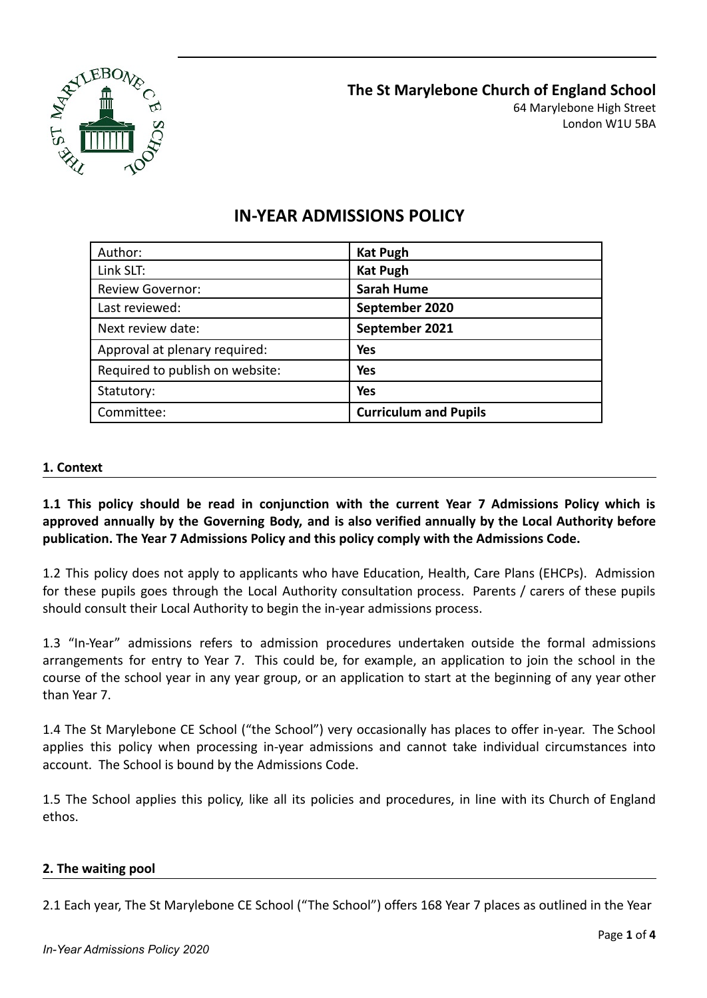

| Author:                         | <b>Kat Pugh</b>              |
|---------------------------------|------------------------------|
| Link SLT:                       | <b>Kat Pugh</b>              |
| <b>Review Governor:</b>         | <b>Sarah Hume</b>            |
| Last reviewed:                  | September 2020               |
| Next review date:               | September 2021               |
| Approval at plenary required:   | Yes                          |
| Required to publish on website: | <b>Yes</b>                   |
| Statutory:                      | <b>Yes</b>                   |
| Committee:                      | <b>Curriculum and Pupils</b> |

# **IN-YEAR ADMISSIONS POLICY**

# **1. Context**

**1.1 This policy should be read in conjunction with the current Year 7 Admissions Policy which is approved annually by the Governing Body, and is also verified annually by the Local Authority before publication. The Year 7 Admissions Policy and this policy comply with the Admissions Code.**

1.2 This policy does not apply to applicants who have Education, Health, Care Plans (EHCPs). Admission for these pupils goes through the Local Authority consultation process. Parents / carers of these pupils should consult their Local Authority to begin the in-year admissions process.

1.3 "In-Year" admissions refers to admission procedures undertaken outside the formal admissions arrangements for entry to Year 7. This could be, for example, an application to join the school in the course of the school year in any year group, or an application to start at the beginning of any year other than Year 7.

1.4 The St Marylebone CE School ("the School") very occasionally has places to offer in-year. The School applies this policy when processing in-year admissions and cannot take individual circumstances into account. The School is bound by the Admissions Code.

1.5 The School applies this policy, like all its policies and procedures, in line with its Church of England ethos.

### **2. The waiting pool**

2.1 Each year, The St Marylebone CE School ("The School") offers 168 Year 7 places as outlined in the Year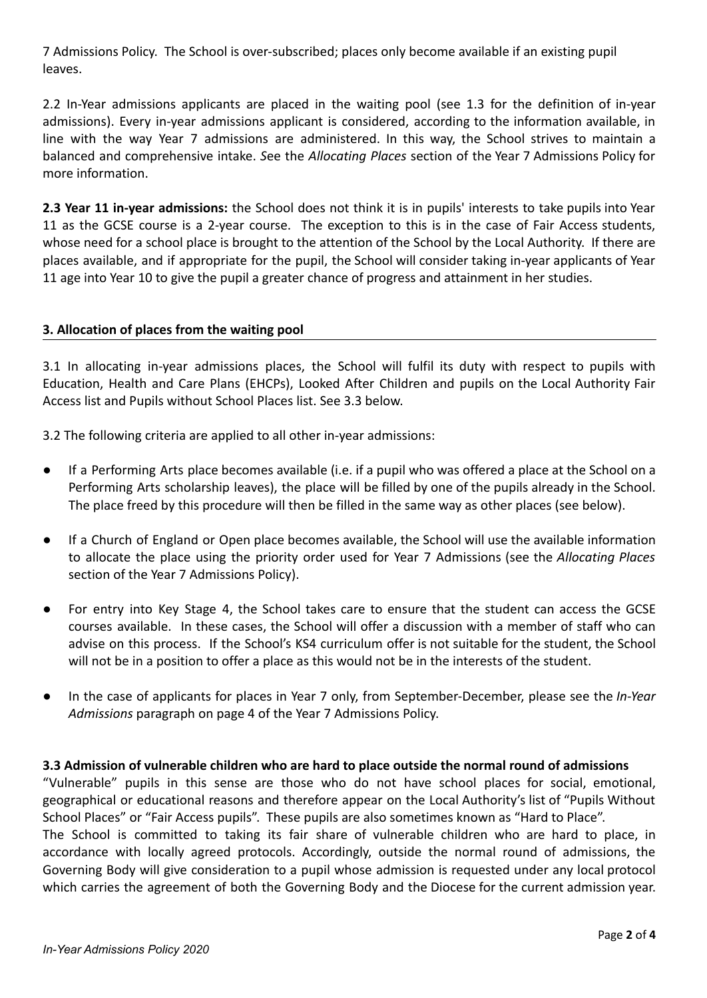7 Admissions Policy. The School is over-subscribed; places only become available if an existing pupil leaves.

2.2 In-Year admissions applicants are placed in the waiting pool (see 1.3 for the definition of in-year admissions). Every in-year admissions applicant is considered, according to the information available, in line with the way Year 7 admissions are administered. In this way, the School strives to maintain a balanced and comprehensive intake. *S*ee the *Allocating Places* section of the Year 7 Admissions Policy for more information.

**2.3 Year 11 in-year admissions:** the School does not think it is in pupils' interests to take pupils into Year 11 as the GCSE course is a 2-year course. The exception to this is in the case of Fair Access students, whose need for a school place is brought to the attention of the School by the Local Authority. If there are places available, and if appropriate for the pupil, the School will consider taking in-year applicants of Year 11 age into Year 10 to give the pupil a greater chance of progress and attainment in her studies.

# **3. Allocation of places from the waiting pool**

3.1 In allocating in-year admissions places, the School will fulfil its duty with respect to pupils with Education, Health and Care Plans (EHCPs), Looked After Children and pupils on the Local Authority Fair Access list and Pupils without School Places list. See 3.3 below.

3.2 The following criteria are applied to all other in-year admissions:

- If a Performing Arts place becomes available (i.e. if a pupil who was offered a place at the School on a Performing Arts scholarship leaves), the place will be filled by one of the pupils already in the School. The place freed by this procedure will then be filled in the same way as other places (see below).
- If a Church of England or Open place becomes available, the School will use the available information to allocate the place using the priority order used for Year 7 Admissions (see the *Allocating Places* section of the Year 7 Admissions Policy).
- For entry into Key Stage 4, the School takes care to ensure that the student can access the GCSE courses available. In these cases, the School will offer a discussion with a member of staff who can advise on this process. If the School's KS4 curriculum offer is not suitable for the student, the School will not be in a position to offer a place as this would not be in the interests of the student.
- In the case of applicants for places in Year 7 only, from September-December, please see the *In-Year Admissions* paragraph on page 4 of the Year 7 Admissions Policy.

#### **3.3 Admission of vulnerable children who are hard to place outside the normal round of admissions**

"Vulnerable" pupils in this sense are those who do not have school places for social, emotional, geographical or educational reasons and therefore appear on the Local Authority's list of "Pupils Without School Places" or "Fair Access pupils". These pupils are also sometimes known as "Hard to Place". The School is committed to taking its fair share of vulnerable children who are hard to place, in accordance with locally agreed protocols. Accordingly, outside the normal round of admissions, the Governing Body will give consideration to a pupil whose admission is requested under any local protocol which carries the agreement of both the Governing Body and the Diocese for the current admission year.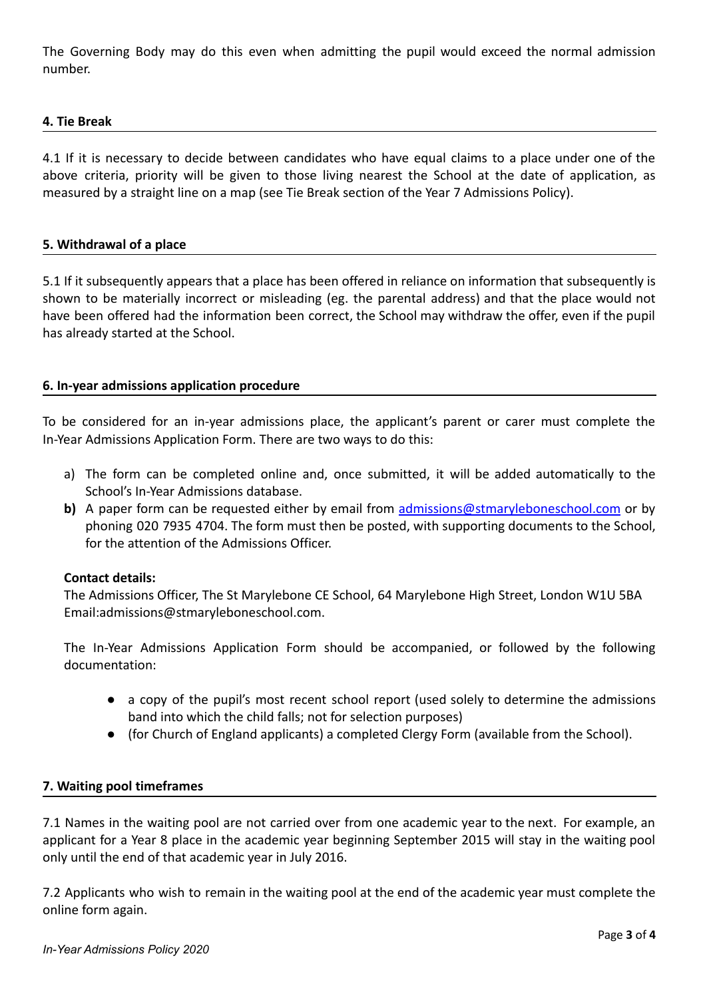The Governing Body may do this even when admitting the pupil would exceed the normal admission number.

## **4. Tie Break**

4.1 If it is necessary to decide between candidates who have equal claims to a place under one of the above criteria, priority will be given to those living nearest the School at the date of application, as measured by a straight line on a map (see Tie Break section of the Year 7 Admissions Policy).

### **5. Withdrawal of a place**

5.1 If it subsequently appears that a place has been offered in reliance on information that subsequently is shown to be materially incorrect or misleading (eg. the parental address) and that the place would not have been offered had the information been correct, the School may withdraw the offer, even if the pupil has already started at the School.

### **6. In-year admissions application procedure**

To be considered for an in-year admissions place, the applicant's parent or carer must complete the In-Year Admissions Application Form. There are two ways to do this:

- a) The form can be completed online and, once submitted, it will be added automatically to the School's In-Year Admissions database.
- **b)** A paper form can be requested either by email from [admissions@stmaryleboneschool.com](mailto:admissions@stmaryleboneschool.com) or by phoning 020 7935 4704. The form must then be posted, with supporting documents to the School, for the attention of the Admissions Officer.

#### **Contact details:**

The Admissions Officer, The St Marylebone CE School, 64 Marylebone High Street, London W1U 5BA Email:admissions@stmaryleboneschool.com.

The In-Year Admissions Application Form should be accompanied, or followed by the following documentation:

- a copy of the pupil's most recent school report (used solely to determine the admissions band into which the child falls; not for selection purposes)
- (for Church of England applicants) a completed Clergy Form (available from the School).

### **7. Waiting pool timeframes**

7.1 Names in the waiting pool are not carried over from one academic year to the next. For example, an applicant for a Year 8 place in the academic year beginning September 2015 will stay in the waiting pool only until the end of that academic year in July 2016.

7.2 Applicants who wish to remain in the waiting pool at the end of the academic year must complete the online form again.